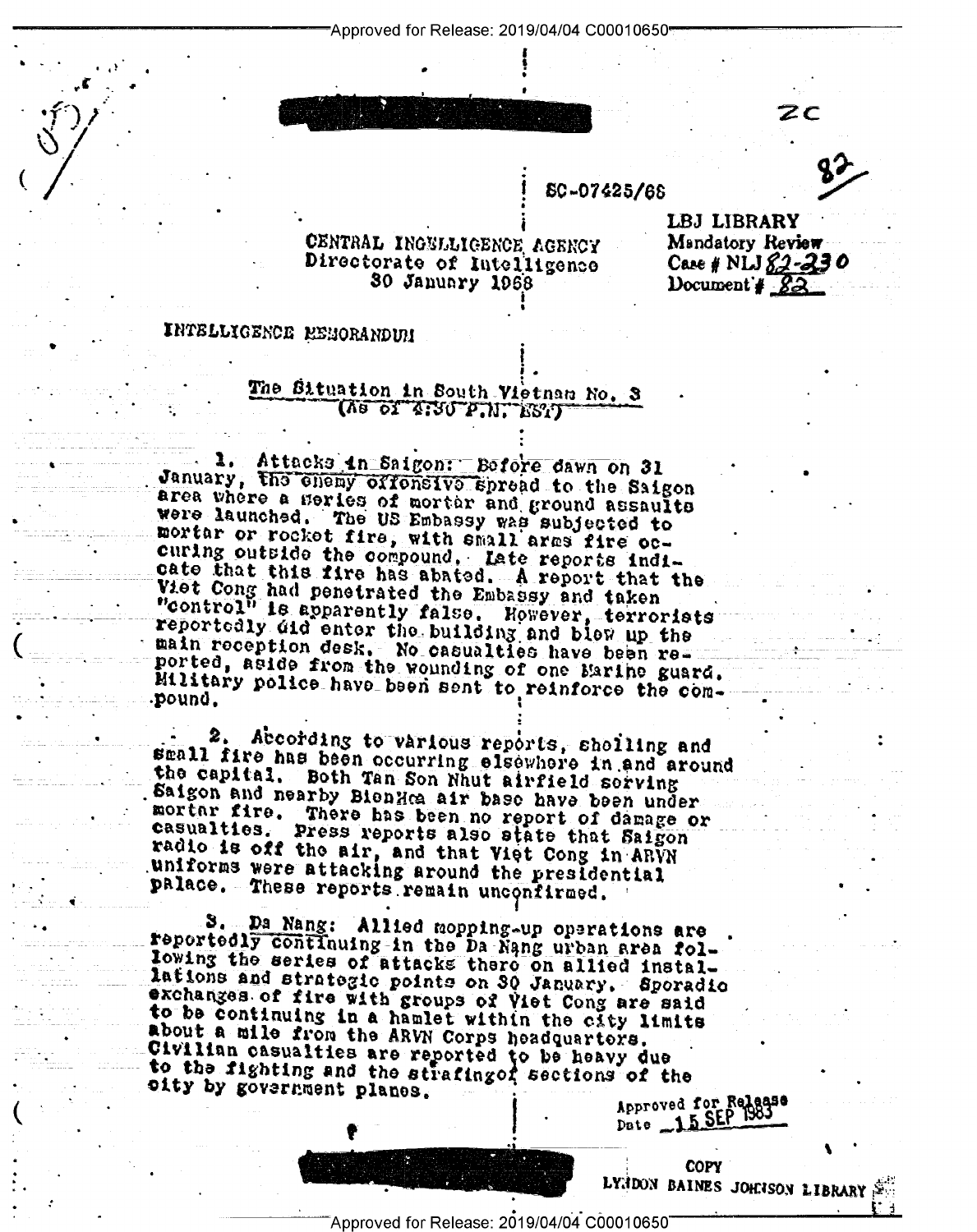"Approved for Release: 2019/04/04 C00010650"

## SC-07425/68

## CENTRAL INGELLIGENCE AGENCY Directorate of Intelligence 30 January 1968

LBJ LIBRARY Mandatory Review  $Case$  # NLJ  $82 - 230$ Document  $32$ 

ZС

## INTELLIGENCE RENORANDUM

## The Situation in South Vietnam No. 3 (Ve of Tirl bill Erl)

1. Attacks in Saigon: Before dawn on 31<br>January, the chemy extensive spread to the Saigon area where a series of morter and ground assaults were launched. The US Embassy was subjected to mortar or rocket fire, with small arms fire occuring outside the compound. Late reports indicate that this fire has abated. A report that the Viet Cong had penetrated the Embassy and taken<br>"control" is apparently false. However, terrorists reportedly did enter the building and blew up the main reception desk. No casualties have been reported, aside from the wounding of one Marine guard. Military police have been sent to reinforce the com-. pound.

2. According to various reports, sholling and small fire has been occurring elsewhere in and around the capital. Both Tan Son Nhut airfield sorving Saigon and nearby BienHea air base have been under mortar fire. There has been no report of damage or casualties. Press reports also state that Saigon radio is off the air, and that Viet Cong in ARVN uniforms were attacking around the presidential palace. These reports remain unconfirmed.

3. Da Nang: Allied mopping-up operations are reportedly continuing in the Da Nang urban area following the series of attacks there on allied installations and strategic points on 30 January. Sporadio exchanges of fire with groups of Viet Cong are said to be continuing in a hamlet within the city limits about a mile from the ARVN Corps headquarters. Civilian casualties are reported to be heavy due<br>to the fighting and the strafingof sections of the oity by government planes. Approved for Release

> **COPY** LYNDON BAINES JOHNSON LIBRARY

Approved for Release: 2019/04/04 C00010650"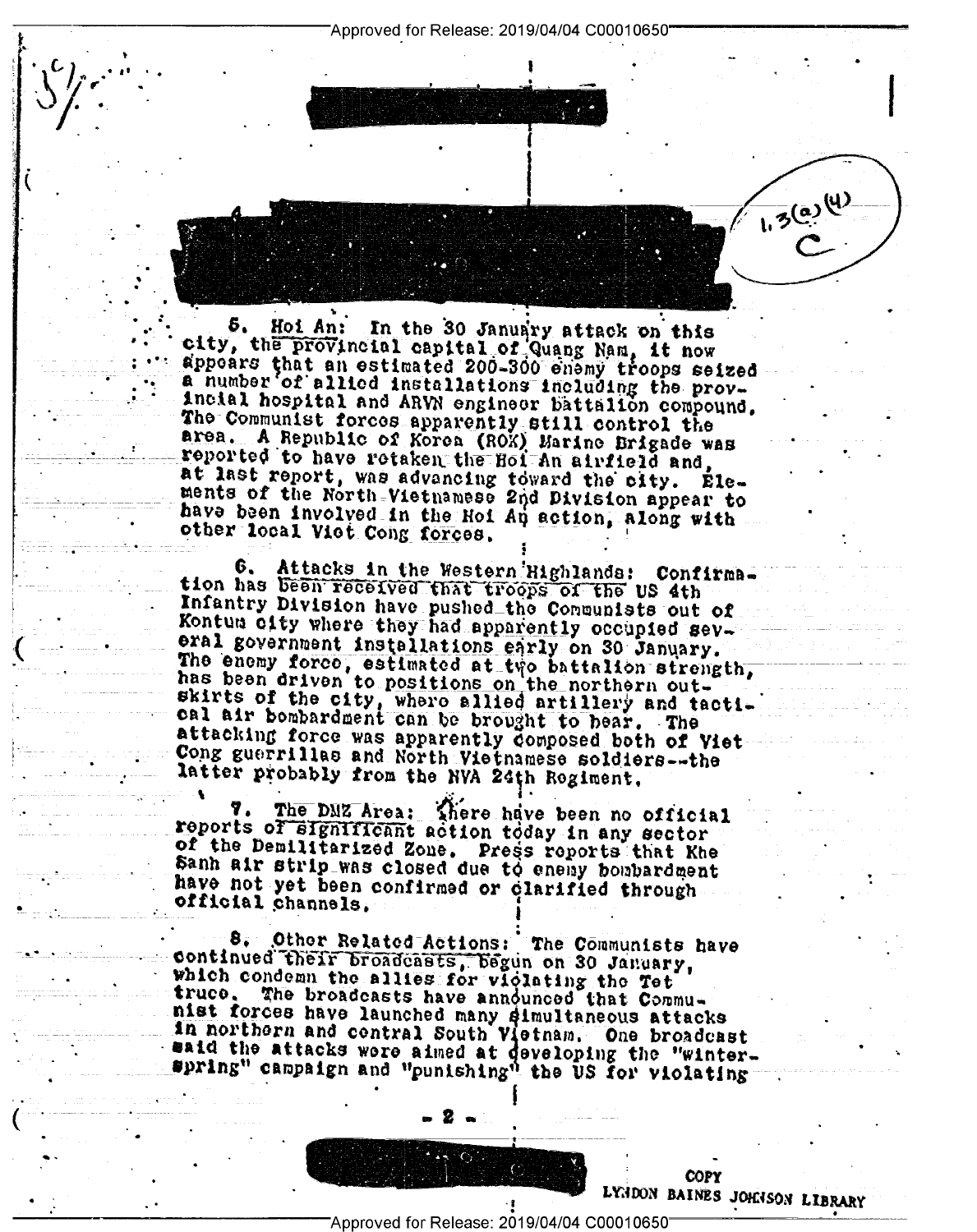Approved for Release: 2019/04/04 C00010650"

Hoi An: In the 30 January attack on this city, the provincial capital of Quang Nam, it now appoars that an estimated 200-300 enemy troops seized a number of allied installations including the provincial hospital and ARVN engineer battalion compound. The Communist forces apparently still control the area. A Republic of Korea (ROK) Marine Brigade was at last report, was advancing toward the city. Elements of the North-Vietnamese 2nd Division appear to have been involved in the Hoi An action, along with other local Vict Cong forces.

Attacks in the Western Highlands: Confirma-6. tion has been received that troops of the US 4th Infantry Division have pushed the Communists out of Kontum city where they had apparently occupied several government installations early on 30 January. The enemy force, estimated at two battalion strength, has been driven to positions on the northern outskirts of the city, where allied artillery and tactical air bombardment can be brought to bear. The attacking force was apparently composed both of Viet Cong guerrillas and North Vietnamese soldiers--the latter probably from the NVA 24th Regiment.

The DMZ Area: There have been no official 7. reports of significant action today in any sector of the Demilitarized Zone. Press reports that Khe Sanh air strip was closed due to enemy bombardment have not yet been confirmed or clarified through official channels.

8, Other Related Actions: The Communists have continued their broadcasts, begun on 30 January, which condemn the allies for violating the Tet truco, The broadcasts have announced that Communist forces have launched many dimultaneous attacks in northern and central South Vietnam. One broadcast maid the attacks were aimed at developing the "winterspring" campaign and "punishing" the US for violating

**COPY** LYNDON BAINES JOHNSON LIBRARY

1.3 (a) (4)

Approved for Release: 2019/04/04 C00010650